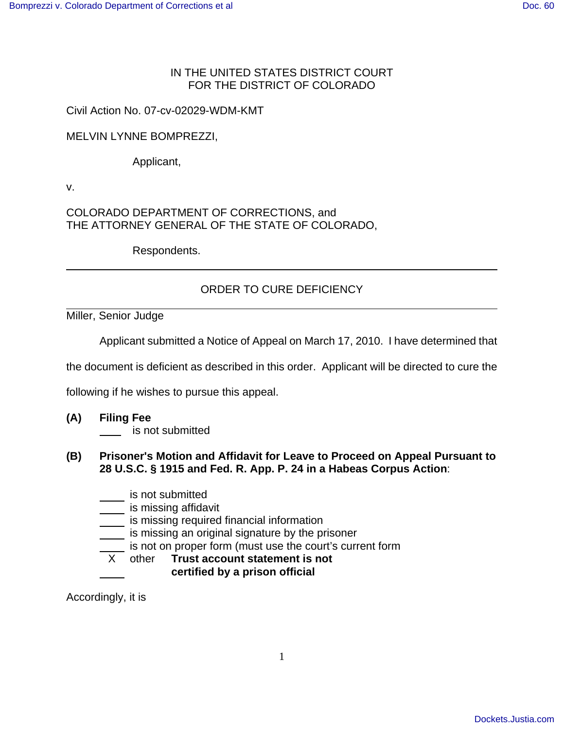## IN THE UNITED STATES DISTRICT COURT FOR THE DISTRICT OF COLORADO

## Civil Action No. 07-cv-02029-WDM-KMT

## MELVIN LYNNE BOMPREZZI,

Applicant,

v.

COLORADO DEPARTMENT OF CORRECTIONS, and THE ATTORNEY GENERAL OF THE STATE OF COLORADO,

Respondents.

## ORDER TO CURE DEFICIENCY

Miller, Senior Judge

Applicant submitted a Notice of Appeal on March 17, 2010. I have determined that

the document is deficient as described in this order. Applicant will be directed to cure the

following if he wishes to pursue this appeal.

**(A) Filing Fee** 

**is not submitted** 

- **(B) Prisoner's Motion and Affidavit for Leave to Proceed on Appeal Pursuant to 28 U.S.C. § 1915 and Fed. R. App. P. 24 in a Habeas Corpus Action**:
	- is not submitted
	- is missing affidavit
	- **is missing required financial information**
	- is missing an original signature by the prisoner
	- $\overline{\phantom{a}}$  is not on proper form (must use the court's current form

X other **Trust account statement is not certified by a prison official**

Accordingly, it is